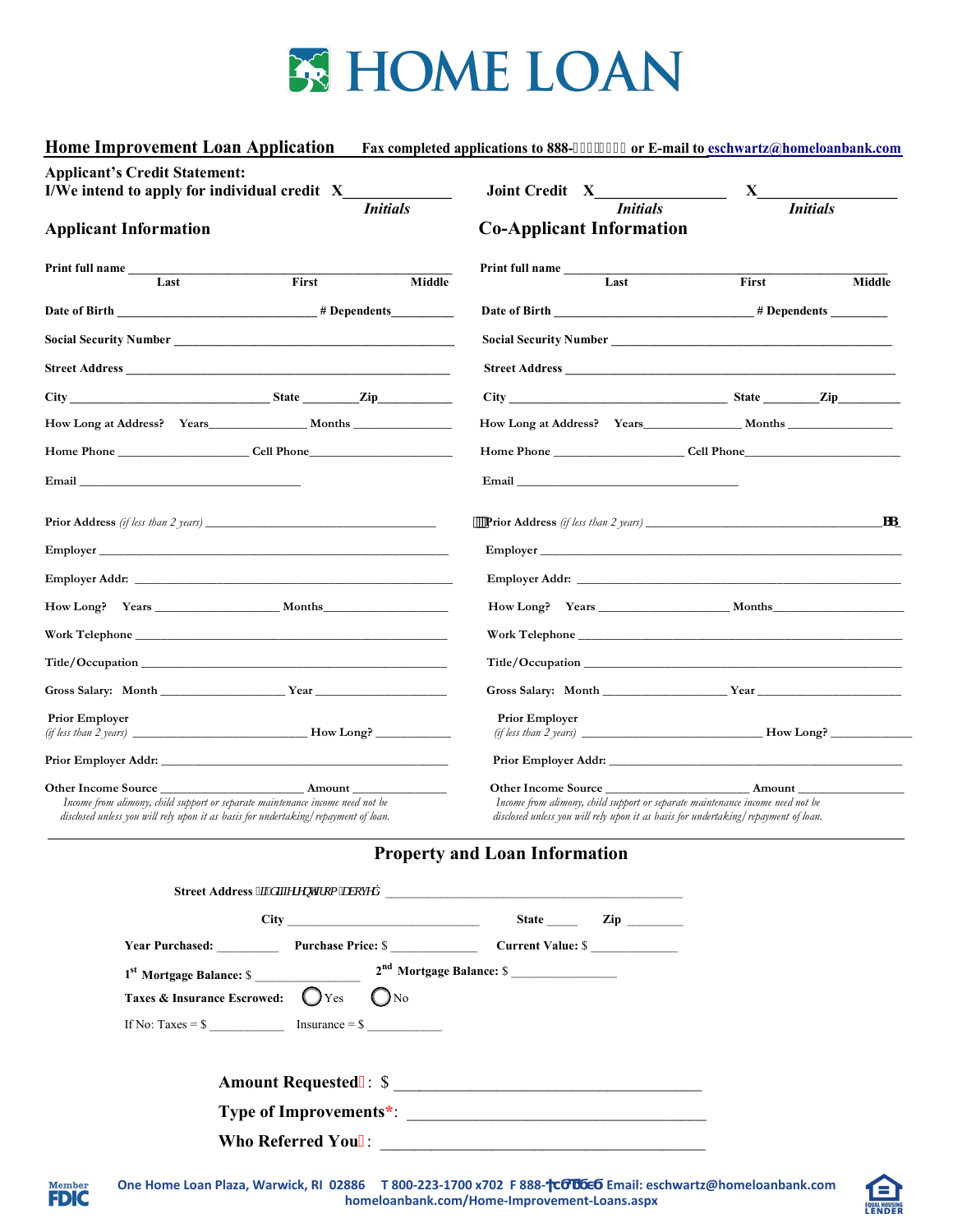

| <b>Home Improvement Loan Application</b>                                                                                                                                                                                             |                                                                                                                                                                                                                                      | Fax completed applications to 888-483/33; 2 or E-mail to eschwartz@homeloanbank.com |                                                                                                                                                                                                                                                                                                                     |  |  |  |
|--------------------------------------------------------------------------------------------------------------------------------------------------------------------------------------------------------------------------------------|--------------------------------------------------------------------------------------------------------------------------------------------------------------------------------------------------------------------------------------|-------------------------------------------------------------------------------------|---------------------------------------------------------------------------------------------------------------------------------------------------------------------------------------------------------------------------------------------------------------------------------------------------------------------|--|--|--|
| <b>Applicant's Credit Statement:</b>                                                                                                                                                                                                 | I/We intend to apply for individual credit X<br><b>Initials</b>                                                                                                                                                                      | <i>Initials</i>                                                                     | $\mathbf{X}$ and $\mathbf{X}$ and $\mathbf{X}$ and $\mathbf{X}$ and $\mathbf{X}$ and $\mathbf{X}$ and $\mathbf{X}$ and $\mathbf{X}$ and $\mathbf{X}$ and $\mathbf{X}$ and $\mathbf{X}$ and $\mathbf{X}$ and $\mathbf{X}$ and $\mathbf{X}$ and $\mathbf{X}$ and $\mathbf{X}$ and $\mathbf{X}$ and<br><b>Initials</b> |  |  |  |
| <b>Applicant Information</b>                                                                                                                                                                                                         |                                                                                                                                                                                                                                      | <b>Co-Applicant Information</b>                                                     |                                                                                                                                                                                                                                                                                                                     |  |  |  |
| <b>Print full name</b><br>Last                                                                                                                                                                                                       | First<br>Middle                                                                                                                                                                                                                      | Print full name<br>Last                                                             | First<br>Middle                                                                                                                                                                                                                                                                                                     |  |  |  |
|                                                                                                                                                                                                                                      |                                                                                                                                                                                                                                      |                                                                                     |                                                                                                                                                                                                                                                                                                                     |  |  |  |
|                                                                                                                                                                                                                                      |                                                                                                                                                                                                                                      |                                                                                     |                                                                                                                                                                                                                                                                                                                     |  |  |  |
|                                                                                                                                                                                                                                      | <b>Street Address</b>                                                                                                                                                                                                                | <b>Street Address</b>                                                               |                                                                                                                                                                                                                                                                                                                     |  |  |  |
|                                                                                                                                                                                                                                      |                                                                                                                                                                                                                                      |                                                                                     |                                                                                                                                                                                                                                                                                                                     |  |  |  |
|                                                                                                                                                                                                                                      |                                                                                                                                                                                                                                      |                                                                                     |                                                                                                                                                                                                                                                                                                                     |  |  |  |
|                                                                                                                                                                                                                                      | Home Phone Cell Phone                                                                                                                                                                                                                |                                                                                     |                                                                                                                                                                                                                                                                                                                     |  |  |  |
| Email <b>Executive Contract Contract Contract Contract Contract Contract Contract Contract Contract Contract Contract Contract Contract Contract Contract Contract Contract Contract Contract Contract Contract Contract Contrac</b> |                                                                                                                                                                                                                                      |                                                                                     |                                                                                                                                                                                                                                                                                                                     |  |  |  |
|                                                                                                                                                                                                                                      | <b>Prior Address</b> (if less than 2 years) $\frac{1}{2}$                                                                                                                                                                            |                                                                                     |                                                                                                                                                                                                                                                                                                                     |  |  |  |
|                                                                                                                                                                                                                                      |                                                                                                                                                                                                                                      |                                                                                     |                                                                                                                                                                                                                                                                                                                     |  |  |  |
|                                                                                                                                                                                                                                      | Employer Addr: <u>the contract of the contract of the contract of the contract of the contract of the contract of the contract of the contract of the contract of the contract of the contract of the contract of the contract o</u> |                                                                                     | <b>Employer Addr.</b> <u>Contract Contract Contract Contract Contract Contract Contract Contract Contract Contract Contract Contract Contract Contract Contract Contract Contract Contract Contract Contract Contract Contract Contra</u>                                                                           |  |  |  |
|                                                                                                                                                                                                                                      | How Long? Years Months                                                                                                                                                                                                               |                                                                                     |                                                                                                                                                                                                                                                                                                                     |  |  |  |
|                                                                                                                                                                                                                                      |                                                                                                                                                                                                                                      |                                                                                     | Work Telephone                                                                                                                                                                                                                                                                                                      |  |  |  |
|                                                                                                                                                                                                                                      |                                                                                                                                                                                                                                      |                                                                                     | Title/Occupation                                                                                                                                                                                                                                                                                                    |  |  |  |
|                                                                                                                                                                                                                                      |                                                                                                                                                                                                                                      |                                                                                     | Gross Salary: Month Year Year                                                                                                                                                                                                                                                                                       |  |  |  |
| <b>Prior Employer</b>                                                                                                                                                                                                                |                                                                                                                                                                                                                                      | <b>Prior Employer</b>                                                               |                                                                                                                                                                                                                                                                                                                     |  |  |  |
|                                                                                                                                                                                                                                      |                                                                                                                                                                                                                                      |                                                                                     |                                                                                                                                                                                                                                                                                                                     |  |  |  |
| Other Income Source Amount<br>Income from alimony, child support or separate maintenance income need not be<br>disclosed unless you will rely upon it as basis for undertaking/repayment of loan.                                    |                                                                                                                                                                                                                                      | Other Income Source Amount                                                          | Income from alimony, child support or separate maintenance income need not be<br>disclosed unless you will rely upon it as basis for undertaking/repayment of loan.                                                                                                                                                 |  |  |  |

## **Property and Loan Information**

|                                                                                                      |                        | State Zip |
|------------------------------------------------------------------------------------------------------|------------------------|-----------|
| Year Purchased: Purchase Price: \$                                                                   |                        |           |
| Taxes & Insurance Escrowed: $\bigcirc$ Yes<br>If No: Taxes = $\frac{1}{2}$ Insurance = $\frac{1}{2}$ | $\bigcup$ $N_0$        |           |
|                                                                                                      |                        |           |
|                                                                                                      | Type of Improvements*: |           |
|                                                                                                      |                        |           |